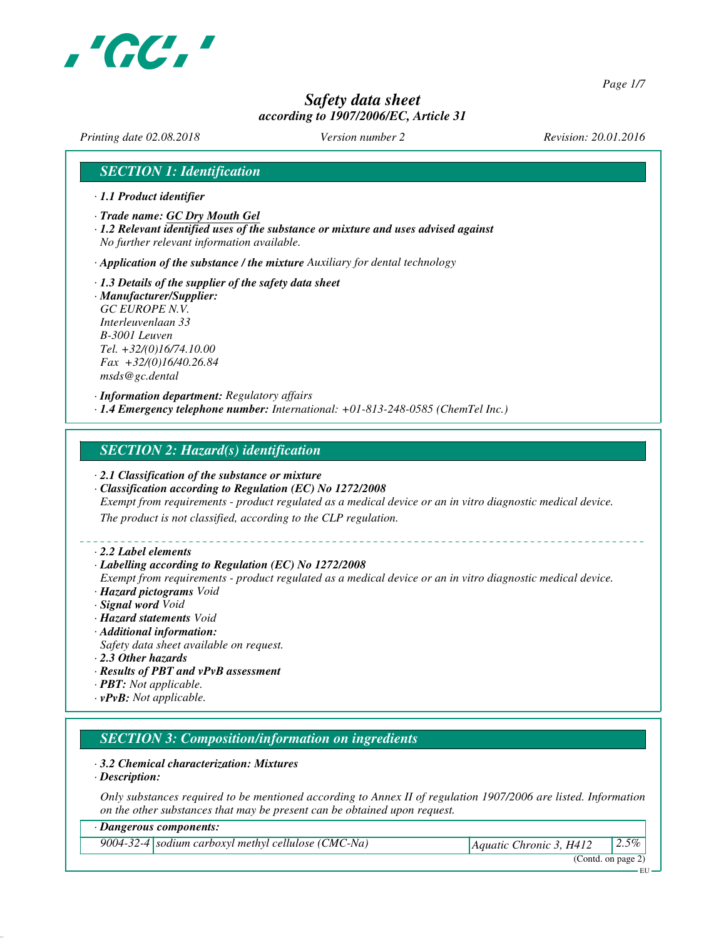

*Page 1/7*

## *Safety data sheet according to 1907/2006/EC, Article 31*

*Printing date 02.08.2018 Version number 2 Revision: 20.01.2016*

## *SECTION 1: Identification*

- *· 1.1 Product identifier*
- *· Trade name: GC Dry Mouth Gel*
- *· 1.2 Relevant identified uses of the substance or mixture and uses advised against No further relevant information available.*

*· Application of the substance / the mixture Auxiliary for dental technology*

*· 1.3 Details of the supplier of the safety data sheet · Manufacturer/Supplier: GC EUROPE N.V. Interleuvenlaan 33 B-3001 Leuven Tel. +32/(0)16/74.10.00*

*Fax +32/(0)16/40.26.84 msds@gc.dental*

*· Information department: Regulatory affairs · 1.4 Emergency telephone number: International: +01-813-248-0585 (ChemTel Inc.)*

### *SECTION 2: Hazard(s) identification*

- *· 2.1 Classification of the substance or mixture*
- *· Classification according to Regulation (EC) No 1272/2008*

*Exempt from requirements - product regulated as a medical device or an in vitro diagnostic medical device.*

*The product is not classified, according to the CLP regulation.*

*· 2.2 Label elements*

#### *· Labelling according to Regulation (EC) No 1272/2008*

*Exempt from requirements - product regulated as a medical device or an in vitro diagnostic medical device. · Hazard pictograms Void*

*· Signal word Void*

- *· Hazard statements Void*
- *· Additional information:*
- *Safety data sheet available on request.*
- *· 2.3 Other hazards*
- *· Results of PBT and vPvB assessment*
- *· PBT: Not applicable.*
- *· vPvB: Not applicable.*

### *SECTION 3: Composition/information on ingredients*

#### *· 3.2 Chemical characterization: Mixtures*

*· Description:*

*Only substances required to be mentioned according to Annex II of regulation 1907/2006 are listed. Information on the other substances that may be present can be obtained upon request.*

#### *· Dangerous components:*

*9004-32-4 sodium carboxyl methyl cellulose (CMC-Na) Aquatic Chronic 3, H412 2.5%*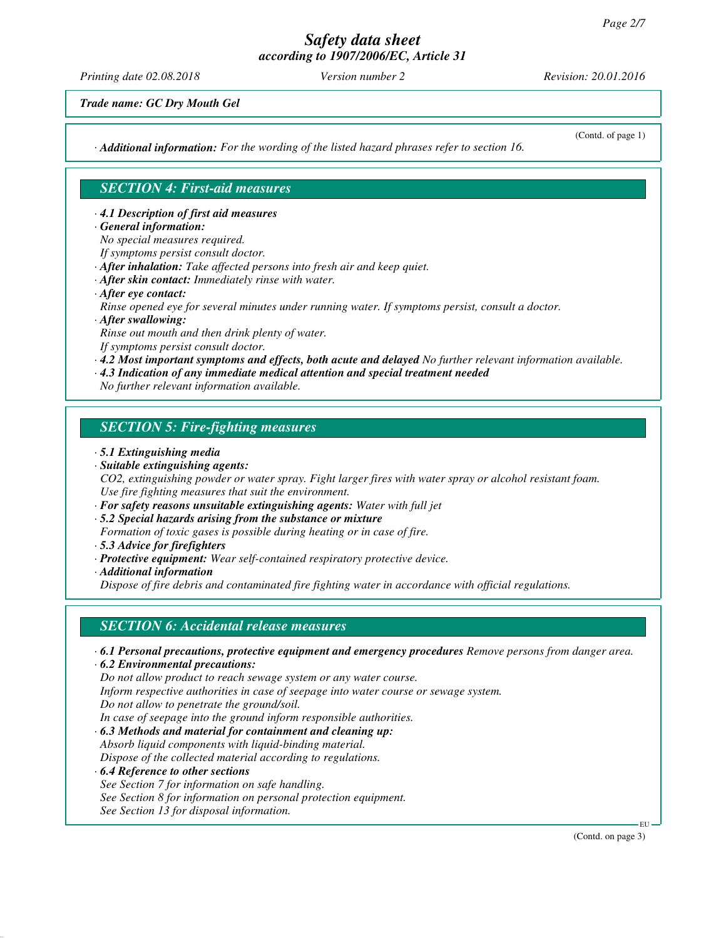*Printing date 02.08.2018 Version number 2 Revision: 20.01.2016*

*Trade name: GC Dry Mouth Gel*

*· Additional information: For the wording of the listed hazard phrases refer to section 16.*

(Contd. of page 1)

## *SECTION 4: First-aid measures*

*· 4.1 Description of first aid measures*

- *· General information:*
- *No special measures required.*
- *If symptoms persist consult doctor.*
- *· After inhalation: Take affected persons into fresh air and keep quiet.*
- *· After skin contact: Immediately rinse with water.*
- *· After eye contact:*

*Rinse opened eye for several minutes under running water. If symptoms persist, consult a doctor.*

*· After swallowing:*

*Rinse out mouth and then drink plenty of water. If symptoms persist consult doctor.*

*· 4.2 Most important symptoms and effects, both acute and delayed No further relevant information available.*

*· 4.3 Indication of any immediate medical attention and special treatment needed*

*No further relevant information available.*

## *SECTION 5: Fire-fighting measures*

- *· 5.1 Extinguishing media*
- *· Suitable extinguishing agents:*

*CO2, extinguishing powder or water spray. Fight larger fires with water spray or alcohol resistant foam. Use fire fighting measures that suit the environment.*

- *· For safety reasons unsuitable extinguishing agents: Water with full jet*
- *· 5.2 Special hazards arising from the substance or mixture*

*Formation of toxic gases is possible during heating or in case of fire.*

- *· 5.3 Advice for firefighters*
- *· Protective equipment: Wear self-contained respiratory protective device.*

*· Additional information*

*Dispose of fire debris and contaminated fire fighting water in accordance with official regulations.*

## *SECTION 6: Accidental release measures*

- *· 6.1 Personal precautions, protective equipment and emergency procedures Remove persons from danger area.*
- *· 6.2 Environmental precautions:*

*Do not allow product to reach sewage system or any water course.*

*Inform respective authorities in case of seepage into water course or sewage system.*

*Do not allow to penetrate the ground/soil.*

*In case of seepage into the ground inform responsible authorities.*

*· 6.3 Methods and material for containment and cleaning up: Absorb liquid components with liquid-binding material. Dispose of the collected material according to regulations.*

*· 6.4 Reference to other sections*

- *See Section 7 for information on safe handling.*
- *See Section 8 for information on personal protection equipment.*

*See Section 13 for disposal information.*

EU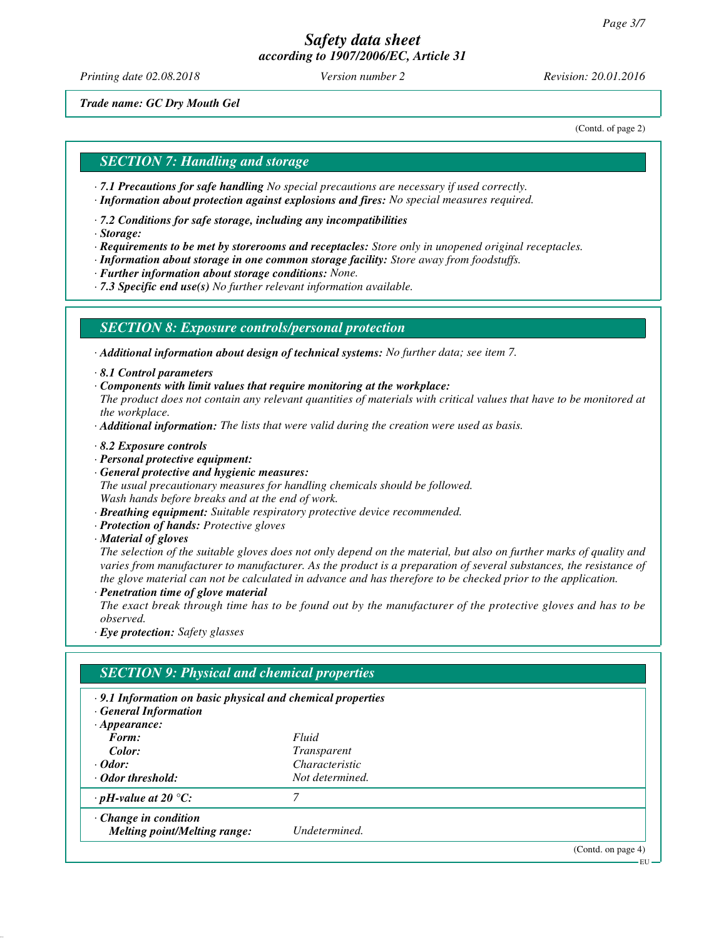*Printing date 02.08.2018 Version number 2 Revision: 20.01.2016*

*Trade name: GC Dry Mouth Gel*

(Contd. of page 2)

#### *SECTION 7: Handling and storage*

- *· 7.1 Precautions for safe handling No special precautions are necessary if used correctly.*
- *· Information about protection against explosions and fires: No special measures required.*
- *· 7.2 Conditions for safe storage, including any incompatibilities*
- *· Storage:*
- *· Requirements to be met by storerooms and receptacles: Store only in unopened original receptacles.*
- *· Information about storage in one common storage facility: Store away from foodstuffs.*
- *· Further information about storage conditions: None.*
- *· 7.3 Specific end use(s) No further relevant information available.*

#### *SECTION 8: Exposure controls/personal protection*

*· Additional information about design of technical systems: No further data; see item 7.*

- *· 8.1 Control parameters*
- *· Components with limit values that require monitoring at the workplace:*
- *The product does not contain any relevant quantities of materials with critical values that have to be monitored at the workplace.*
- *· Additional information: The lists that were valid during the creation were used as basis.*
- *· 8.2 Exposure controls*
- *· Personal protective equipment:*
- *· General protective and hygienic measures: The usual precautionary measures for handling chemicals should be followed. Wash hands before breaks and at the end of work.*
- *· Breathing equipment: Suitable respiratory protective device recommended.*
- *· Protection of hands: Protective gloves*
- *· Material of gloves*

*The selection of the suitable gloves does not only depend on the material, but also on further marks of quality and varies from manufacturer to manufacturer. As the product is a preparation of several substances, the resistance of the glove material can not be calculated in advance and has therefore to be checked prior to the application.*

*· Penetration time of glove material*

*The exact break through time has to be found out by the manufacturer of the protective gloves and has to be observed.*

*· Eye protection: Safety glasses*

| $\cdot$ 9.1 Information on basic physical and chemical properties<br><b>General Information</b> |                    |  |
|-------------------------------------------------------------------------------------------------|--------------------|--|
| $\cdot$ Appearance:                                                                             |                    |  |
| Form:                                                                                           | Fluid              |  |
| Color:                                                                                          | <i>Transparent</i> |  |
| $\cdot$ Odor:                                                                                   | Characteristic     |  |
| ⋅ Odor threshold:                                                                               | Not determined.    |  |
| $\cdot$ pH-value at 20 °C:                                                                      | 7                  |  |
| $\cdot$ Change in condition                                                                     |                    |  |
| <b>Melting point/Melting range:</b>                                                             | Undetermined.      |  |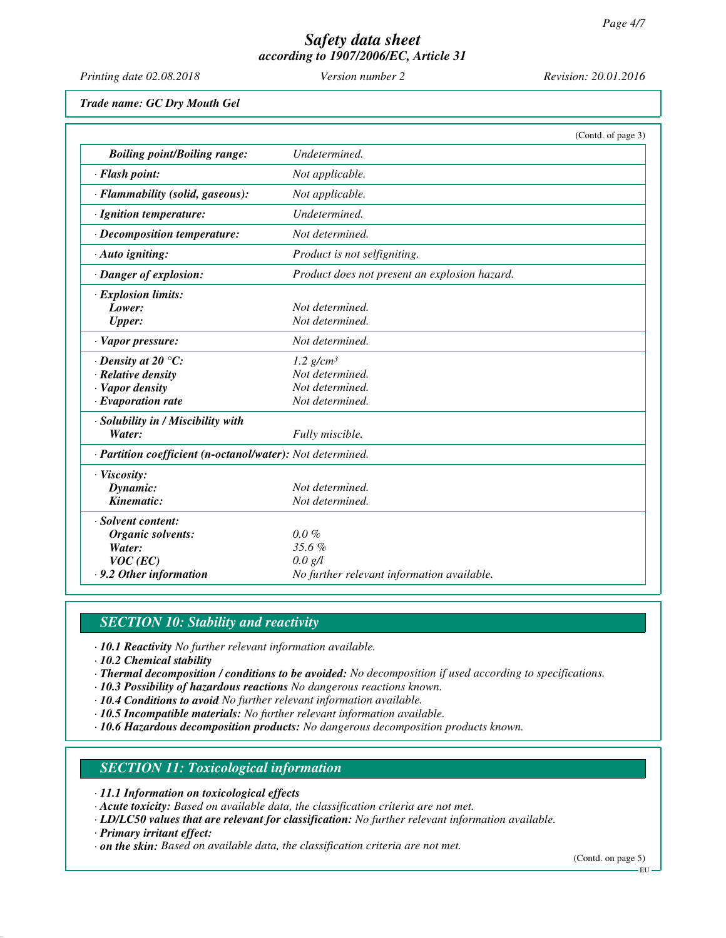| Printing date 02.08.2018                                                                                      | Version number 2                                                                    | Revision: 20.01.2016 |
|---------------------------------------------------------------------------------------------------------------|-------------------------------------------------------------------------------------|----------------------|
| Trade name: GC Dry Mouth Gel                                                                                  |                                                                                     |                      |
|                                                                                                               |                                                                                     | (Contd. of page 3)   |
| <b>Boiling point/Boiling range:</b>                                                                           | Undetermined.                                                                       |                      |
| · Flash point:                                                                                                | Not applicable.                                                                     |                      |
| · Flammability (solid, gaseous):                                                                              | Not applicable.                                                                     |                      |
| · Ignition temperature:                                                                                       | Undetermined.                                                                       |                      |
| · Decomposition temperature:                                                                                  | Not determined.                                                                     |                      |
| · Auto igniting:                                                                                              | Product is not selfigniting.                                                        |                      |
| · Danger of explosion:                                                                                        | Product does not present an explosion hazard.                                       |                      |
| · Explosion limits:<br>Lower:<br><b>Upper:</b>                                                                | Not determined.<br>Not determined.                                                  |                      |
| · Vapor pressure:                                                                                             | Not determined.                                                                     |                      |
| $\cdot$ Density at 20 $\degree$ C:<br>$\cdot$ Relative density<br>· Vapor density<br>$\cdot$ Evaporation rate | $1.2$ g/cm <sup>3</sup><br>Not determined.<br>Not determined.<br>Not determined.    |                      |
| · Solubility in / Miscibility with<br>Water:                                                                  | Fully miscible.                                                                     |                      |
| · Partition coefficient (n-octanol/water): Not determined.                                                    |                                                                                     |                      |
| · Viscosity:<br>Dynamic:<br>Kinematic:                                                                        | Not determined.<br>Not determined.                                                  |                      |
| · Solvent content:<br>Organic solvents:<br>Water:<br>$VOC$ (EC)<br>.9.2 Other information                     | $0.0\%$<br>35.6%<br>$0.0 \text{ g/l}$<br>No further relevant information available. |                      |

## *SECTION 10: Stability and reactivity*

- *· 10.1 Reactivity No further relevant information available.*
- *· 10.2 Chemical stability*
- *· Thermal decomposition / conditions to be avoided: No decomposition if used according to specifications.*
- *· 10.3 Possibility of hazardous reactions No dangerous reactions known.*
- *· 10.4 Conditions to avoid No further relevant information available.*
- *· 10.5 Incompatible materials: No further relevant information available.*
- *· 10.6 Hazardous decomposition products: No dangerous decomposition products known.*

# *SECTION 11: Toxicological information*

*· 11.1 Information on toxicological effects*

*· Acute toxicity: Based on available data, the classification criteria are not met.*

- *· LD/LC50 values that are relevant for classification: No further relevant information available.*
- *· Primary irritant effect:*

*· on the skin: Based on available data, the classification criteria are not met.*

(Contd. on page 5)

EU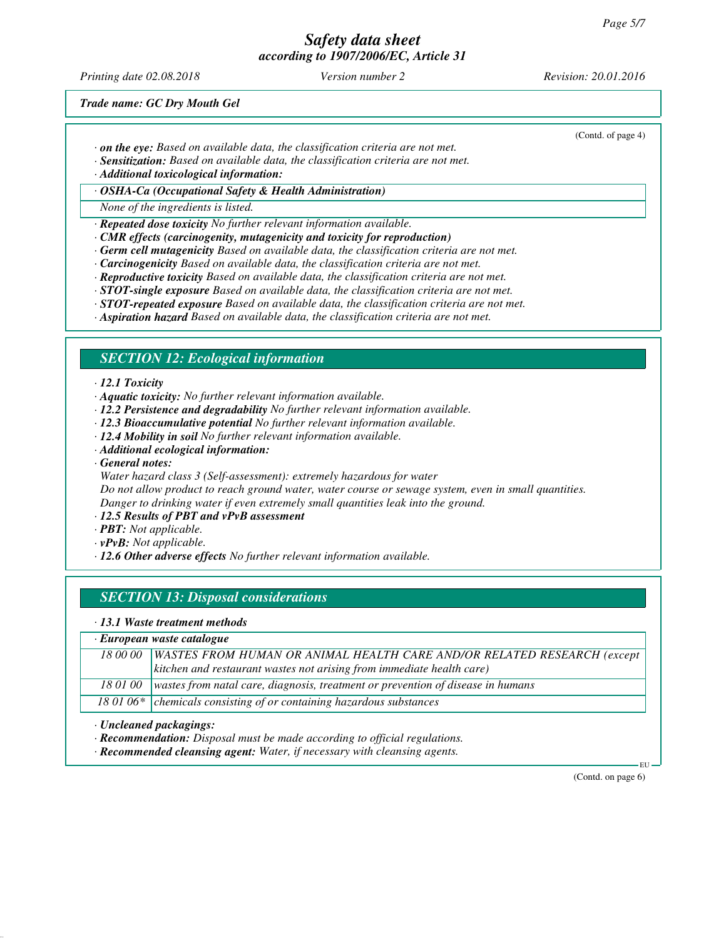*Printing date 02.08.2018 Version number 2 Revision: 20.01.2016*

(Contd. of page 4)

*Trade name: GC Dry Mouth Gel*

- *· on the eye: Based on available data, the classification criteria are not met.*
- *· Sensitization: Based on available data, the classification criteria are not met.*

*· Additional toxicological information:*

*· OSHA-Ca (Occupational Safety & Health Administration)*

*None of the ingredients is listed.*

*· Repeated dose toxicity No further relevant information available.*

- *· CMR effects (carcinogenity, mutagenicity and toxicity for reproduction)*
- *· Germ cell mutagenicity Based on available data, the classification criteria are not met.*
- *· Carcinogenicity Based on available data, the classification criteria are not met.*
- *· Reproductive toxicity Based on available data, the classification criteria are not met.*
- *· STOT-single exposure Based on available data, the classification criteria are not met.*
- *· STOT-repeated exposure Based on available data, the classification criteria are not met.*
- *· Aspiration hazard Based on available data, the classification criteria are not met.*

### *SECTION 12: Ecological information*

#### *· 12.1 Toxicity*

- *· Aquatic toxicity: No further relevant information available.*
- *· 12.2 Persistence and degradability No further relevant information available.*
- *· 12.3 Bioaccumulative potential No further relevant information available.*
- *· 12.4 Mobility in soil No further relevant information available.*
- *· Additional ecological information:*
- *· General notes:*
- *Water hazard class 3 (Self-assessment): extremely hazardous for water*

*Do not allow product to reach ground water, water course or sewage system, even in small quantities. Danger to drinking water if even extremely small quantities leak into the ground.*

- *· 12.5 Results of PBT and vPvB assessment*
- *· PBT: Not applicable.*
- *· vPvB: Not applicable.*
- *· 12.6 Other adverse effects No further relevant information available.*

### *SECTION 13: Disposal considerations*

- *· 13.1 Waste treatment methods*
- *· European waste catalogue*

| 18 00 00 WASTES FROM HUMAN OR ANIMAL HEALTH CARE AND/OR RELATED RESEARCH (except |
|----------------------------------------------------------------------------------|
| kitchen and restaurant wastes not arising from immediate health care)            |

*18 01 00 wastes from natal care, diagnosis, treatment or prevention of disease in humans*

18 01 06\* chemicals consisting of or containing hazardous substances

*· Uncleaned packagings:*

*· Recommendation: Disposal must be made according to official regulations.*

*· Recommended cleansing agent: Water, if necessary with cleansing agents.*

(Contd. on page 6)

EU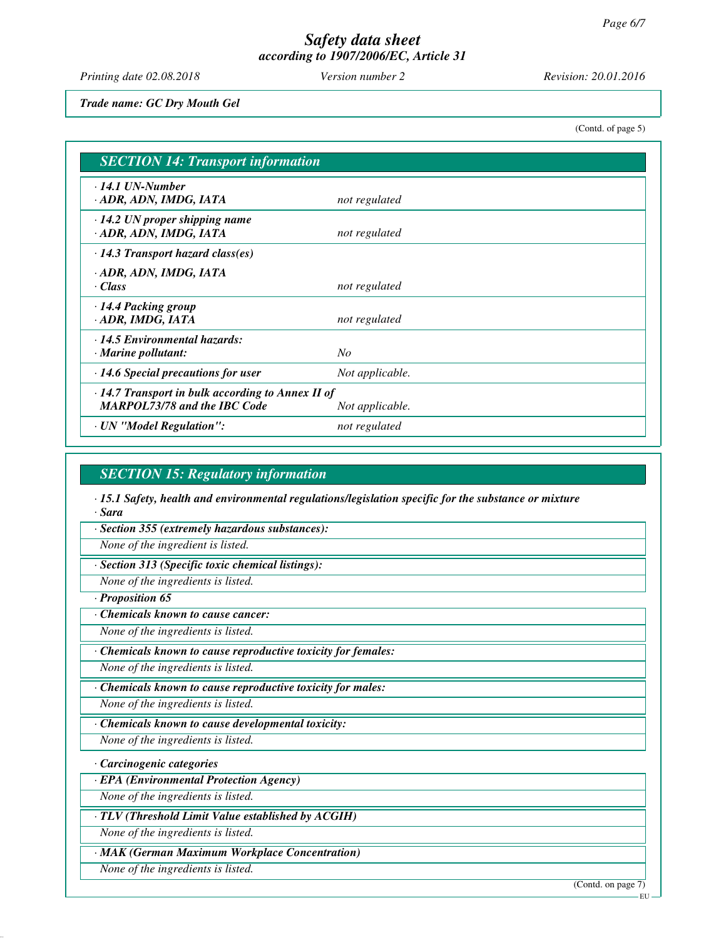*Printing date 02.08.2018 Version number 2 Revision: 20.01.2016*

*Trade name: GC Dry Mouth Gel*

(Contd. of page 5)

| <b>SECTION 14: Transport information</b>                                                       |                 |  |
|------------------------------------------------------------------------------------------------|-----------------|--|
| $\cdot$ 14.1 UN-Number<br>· ADR, ADN, IMDG, IATA                                               | not regulated   |  |
| $\cdot$ 14.2 UN proper shipping name<br>· ADR, ADN, IMDG, IATA                                 | not regulated   |  |
| $\cdot$ 14.3 Transport hazard class(es)                                                        |                 |  |
| · ADR, ADN, IMDG, IATA<br>· Class                                                              | not regulated   |  |
| $\cdot$ 14.4 Packing group<br>· ADR, IMDG, IATA                                                | not regulated   |  |
| $\cdot$ 14.5 Environmental hazards:<br>$\cdot$ Marine pollutant:                               | No              |  |
| $\cdot$ 14.6 Special precautions for user                                                      | Not applicable. |  |
| $\cdot$ 14.7 Transport in bulk according to Annex II of<br><b>MARPOL73/78 and the IBC Code</b> | Not applicable. |  |
| · UN "Model Regulation":                                                                       | not regulated   |  |

### *SECTION 15: Regulatory information*

*· 15.1 Safety, health and environmental regulations/legislation specific for the substance or mixture · Sara*

*· Section 355 (extremely hazardous substances):*

*None of the ingredient is listed.*

*· Section 313 (Specific toxic chemical listings):*

*None of the ingredients is listed.*

*· Proposition 65*

*· Chemicals known to cause cancer:*

*None of the ingredients is listed.*

*· Chemicals known to cause reproductive toxicity for females:*

*None of the ingredients is listed.*

*· Chemicals known to cause reproductive toxicity for males:*

*None of the ingredients is listed.*

*· Chemicals known to cause developmental toxicity:*

*None of the ingredients is listed.*

*· Carcinogenic categories*

*· EPA (Environmental Protection Agency)*

*None of the ingredients is listed.*

*· TLV (Threshold Limit Value established by ACGIH)*

*None of the ingredients is listed.*

*· MAK (German Maximum Workplace Concentration)*

*None of the ingredients is listed.*

(Contd. on page 7)

**EU**